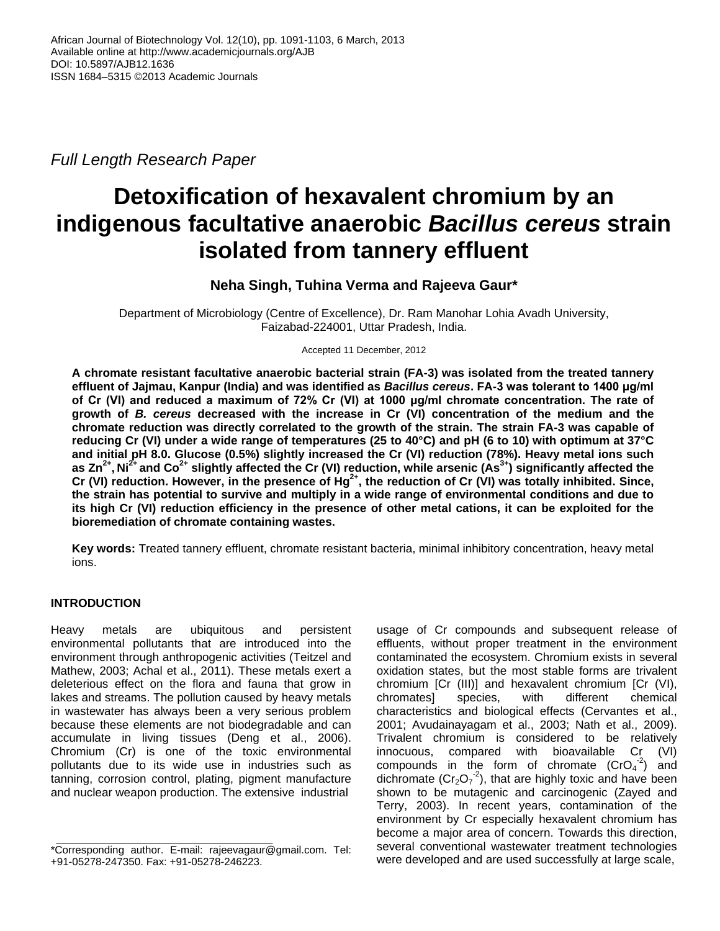*Full Length Research Paper*

# **Detoxification of hexavalent chromium by an indigenous facultative anaerobic** *Bacillus cereus* **strain isolated from tannery effluent**

# **Neha Singh, Tuhina Verma and Rajeeva Gaur\***

Department of Microbiology (Centre of Excellence), Dr. Ram Manohar Lohia Avadh University, Faizabad-224001, Uttar Pradesh, India.

Accepted 11 December, 2012

**A chromate resistant facultative anaerobic bacterial strain (FA-3) was isolated from the treated tannery effluent of Jajmau, Kanpur (India) and was identified as** *Bacillus cereus***. FA-3 was tolerant to 1400 μg/ml of Cr (VI) and reduced a maximum of 72% Cr (VI) at 1000 μg/ml chromate concentration. The rate of growth of** *B. cereus* **decreased with the increase in Cr (VI) concentration of the medium and the chromate reduction was directly correlated to the growth of the strain. The strain FA-3 was capable of reducing Cr (VI) under a wide range of temperatures (25 to 40°C) and pH (6 to 10) with optimum at 37°C and initial pH 8.0. Glucose (0.5%) slightly increased the Cr (VI) reduction (78%). Heavy metal ions such as Zn2+ , Ni2+ and Co2+ slightly affected the Cr (VI) reduction, while arsenic (As3+) significantly affected the Cr (VI) reduction. However, in the presence of Hg2+, the reduction of Cr (VI) was totally inhibited. Since, the strain has potential to survive and multiply in a wide range of environmental conditions and due to its high Cr (VI) reduction efficiency in the presence of other metal cations, it can be exploited for the bioremediation of chromate containing wastes.**

**Key words:** Treated tannery effluent, chromate resistant bacteria, minimal inhibitory concentration, heavy metal ions.

# **INTRODUCTION**

Heavy metals are ubiquitous and persistent environmental pollutants that are introduced into the environment through anthropogenic activities (Teitzel and Mathew, 2003; Achal et al., 2011). These metals exert a deleterious effect on the flora and fauna that grow in lakes and streams. The pollution caused by heavy metals in wastewater has always been a very serious problem because these elements are not biodegradable and can accumulate in living tissues (Deng et al., 2006). Chromium (Cr) is one of the toxic environmental pollutants due to its wide use in industries such as tanning, corrosion control, plating, pigment manufacture and nuclear weapon production. The extensive industrial

usage of Cr compounds and subsequent release of effluents, without proper treatment in the environment contaminated the ecosystem. Chromium exists in several oxidation states, but the most stable forms are trivalent chromium [Cr (III)] and hexavalent chromium [Cr (VI), chromates] species, with different chemical characteristics and biological effects (Cervantes et al., 2001; Avudainayagam et al., 2003; Nath et al., 2009). Trivalent chromium is considered to be relatively innocuous, compared with bioavailable Cr (VI) compounds in the form of chromate  $(CrO<sub>4</sub><sup>-2</sup>)$  and dichromate ( $Cr_2O_7^{-2}$ ), that are highly toxic and have been shown to be mutagenic and carcinogenic (Zayed and Terry, 2003). In recent years, contamination of the environment by Cr especially hexavalent chromium has become a major area of concern. Towards this direction, several conventional wastewater treatment technologies were developed and are used successfully at large scale,

<sup>\*</sup>Corresponding author. E-mail: rajeevagaur@gmail.com. Tel: +91-05278-247350. Fax: +91-05278-246223.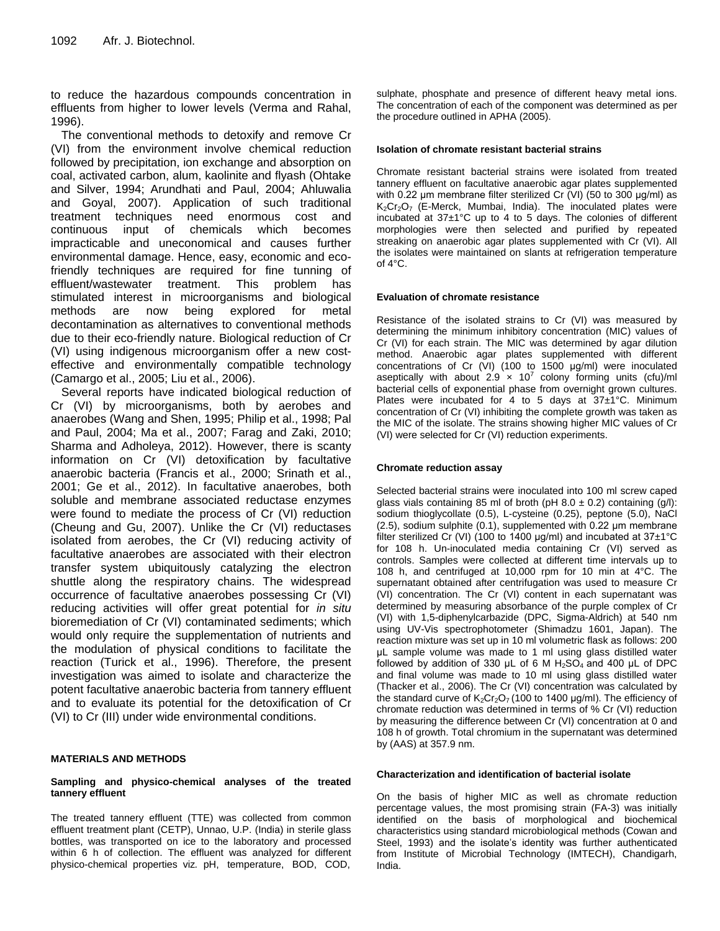to reduce the hazardous compounds concentration in effluents from higher to lower levels (Verma and Rahal, 1996).

The conventional methods to detoxify and remove Cr (VI) from the environment involve chemical reduction followed by precipitation, ion exchange and absorption on coal, activated carbon, alum, kaolinite and flyash (Ohtake and Silver, 1994; Arundhati and Paul, 2004; Ahluwalia and Goyal, 2007). Application of such traditional treatment techniques need enormous cost and continuous input of chemicals which becomes impracticable and uneconomical and causes further environmental damage. Hence, easy, economic and ecofriendly techniques are required for fine tunning of effluent/wastewater treatment. This problem has stimulated interest in microorganisms and biological methods are now being explored for metal decontamination as alternatives to conventional methods due to their eco-friendly nature. Biological reduction of Cr (VI) using indigenous microorganism offer a new costeffective and environmentally compatible technology (Camargo et al., 2005; Liu et al., 2006).

Several reports have indicated biological reduction of Cr (VI) by microorganisms, both by aerobes and anaerobes (Wang and Shen, 1995; Philip et al., 1998; Pal and Paul, 2004; Ma et al., 2007; Farag and Zaki, 2010; Sharma and Adholeya, 2012). However, there is scanty information on Cr (VI) detoxification by facultative anaerobic bacteria (Francis et al., 2000; Srinath et al., 2001; Ge et al., 2012). In facultative anaerobes, both soluble and membrane associated reductase enzymes were found to mediate the process of Cr (VI) reduction (Cheung and Gu, 2007). Unlike the Cr (VI) reductases isolated from aerobes, the Cr (VI) reducing activity of facultative anaerobes are associated with their electron transfer system ubiquitously catalyzing the electron shuttle along the respiratory chains. The widespread occurrence of facultative anaerobes possessing Cr (VI) reducing activities will offer great potential for *in situ* bioremediation of Cr (VI) contaminated sediments; which would only require the supplementation of nutrients and the modulation of physical conditions to facilitate the reaction (Turick et al., 1996). Therefore, the present investigation was aimed to isolate and characterize the potent facultative anaerobic bacteria from tannery effluent and to evaluate its potential for the detoxification of Cr (VI) to Cr (III) under wide environmental conditions.

## **MATERIALS AND METHODS**

#### **Sampling and physico-chemical analyses of the treated tannery effluent**

The treated tannery effluent (TTE) was collected from common effluent treatment plant (CETP), Unnao, U.P. (India) in sterile glass bottles, was transported on ice to the laboratory and processed within 6 h of collection. The effluent was analyzed for different physico-chemical properties viz*.* pH, temperature, BOD, COD,

sulphate, phosphate and presence of different heavy metal ions. The concentration of each of the component was determined as per the procedure outlined in APHA (2005).

#### **Isolation of chromate resistant bacterial strains**

Chromate resistant bacterial strains were isolated from treated tannery effluent on facultative anaerobic agar plates supplemented with 0.22 μm membrane filter sterilized Cr (VI) (50 to 300 μg/ml) as K<sub>2</sub>Cr<sub>2</sub>O<sub>7</sub> (E-Merck, Mumbai, India). The inoculated plates were incubated at 37±1°C up to 4 to 5 days. The colonies of different morphologies were then selected and purified by repeated streaking on anaerobic agar plates supplemented with Cr (VI). All the isolates were maintained on slants at refrigeration temperature of  $4^{\circ}$ C.

#### **Evaluation of chromate resistance**

Resistance of the isolated strains to Cr (VI) was measured by determining the minimum inhibitory concentration (MIC) values of Cr (VI) for each strain. The MIC was determined by agar dilution method. Anaerobic agar plates supplemented with different concentrations of Cr (VI) (100 to 1500 μg/ml) were inoculated aseptically with about  $2.9 \times 10^7$  colony forming units (cfu)/ml bacterial cells of exponential phase from overnight grown cultures. Plates were incubated for 4 to 5 days at 37±1°C. Minimum concentration of Cr (VI) inhibiting the complete growth was taken as the MIC of the isolate. The strains showing higher MIC values of Cr (VI) were selected for Cr (VI) reduction experiments.

#### **Chromate reduction assay**

Selected bacterial strains were inoculated into 100 ml screw caped glass vials containing 85 ml of broth (pH  $8.0 \pm 0.2$ ) containing (g/l): sodium thioglycollate (0.5), L-cysteine (0.25), peptone (5.0), NaCl (2.5), sodium sulphite (0.1), supplemented with 0.22 μm membrane filter sterilized Cr (VI) (100 to 1400  $\mu$ g/ml) and incubated at 37 $\pm$ 1°C for 108 h. Un-inoculated media containing Cr (VI) served as controls. Samples were collected at different time intervals up to 108 h, and centrifuged at 10,000 rpm for 10 min at 4°C. The supernatant obtained after centrifugation was used to measure Cr (VI) concentration. The Cr (VI) content in each supernatant was determined by measuring absorbance of the purple complex of Cr (VI) with 1,5-diphenylcarbazide (DPC, Sigma-Aldrich) at 540 nm using UV-Vis spectrophotometer (Shimadzu 1601, Japan). The reaction mixture was set up in 10 ml volumetric flask as follows: 200 μL sample volume was made to 1 ml using glass distilled water followed by addition of 330  $\mu$ L of 6 M H<sub>2</sub>SO<sub>4</sub> and 400  $\mu$ L of DPC and final volume was made to 10 ml using glass distilled water (Thacker et al., 2006). The Cr (VI) concentration was calculated by the standard curve of  $K_2Cr_2O_7$  (100 to 1400 µg/ml). The efficiency of chromate reduction was determined in terms of % Cr (VI) reduction by measuring the difference between Cr (VI) concentration at 0 and 108 h of growth. Total chromium in the supernatant was determined by (AAS) at 357.9 nm.

#### **Characterization and identification of bacterial isolate**

On the basis of higher MIC as well as chromate reduction percentage values, the most promising strain (FA-3) was initially identified on the basis of morphological and biochemical characteristics using standard microbiological methods (Cowan and Steel, 1993) and the isolate's identity was further authenticated from Institute of Microbial Technology (IMTECH), Chandigarh, India.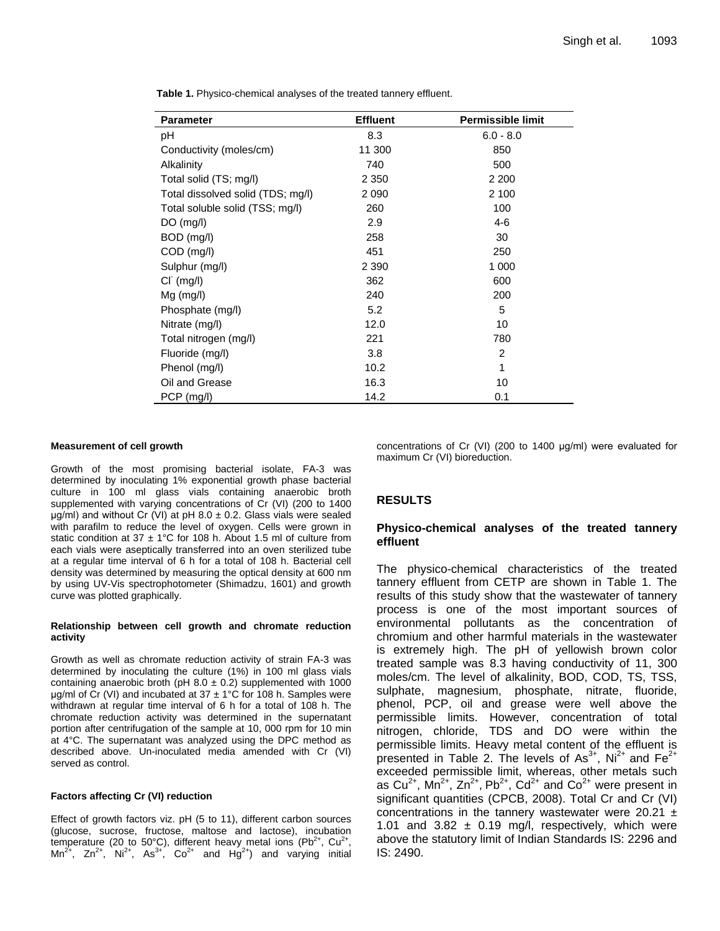**Table 1.** Physico-chemical analyses of the treated tannery effluent.

| <b>Parameter</b>                  | <b>Effluent</b> | <b>Permissible limit</b> |
|-----------------------------------|-----------------|--------------------------|
| рH                                | 8.3             | $6.0 - 8.0$              |
| Conductivity (moles/cm)           | 11 300          | 850                      |
| Alkalinity                        | 740             | 500                      |
| Total solid (TS; mg/l)            | 2 3 5 0         | 2 2 0 0                  |
| Total dissolved solid (TDS; mg/l) | 2 0 9 0         | 2 100                    |
| Total soluble solid (TSS; mg/l)   | 260             | 100                      |
| $DO$ (mg/l)                       | 2.9             | $4-6$                    |
| BOD (mg/l)                        | 258             | 30                       |
| $COD$ (mg/l)                      | 451             | 250                      |
| Sulphur (mg/l)                    | 2 3 9 0         | 1 000                    |
| $CI^{(mq/l)}$                     | 362             | 600                      |
| $Mg$ (mg/l)                       | 240             | 200                      |
| Phosphate (mg/l)                  | 5.2             | 5                        |
| Nitrate (mg/l)                    | 12.0            | 10                       |
| Total nitrogen (mg/l)             | 221             | 780                      |
| Fluoride (mg/l)                   | 3.8             | 2                        |
| Phenol (mg/l)                     | 10.2            | 1                        |
| Oil and Grease                    | 16.3            | 10                       |
| PCP (mg/l)                        | 14.2            | 0.1                      |

#### **Measurement of cell growth**

Growth of the most promising bacterial isolate, FA-3 was determined by inoculating 1% exponential growth phase bacterial culture in 100 ml glass vials containing anaerobic broth supplemented with varying concentrations of Cr (VI) (200 to 1400  $\mu$ g/ml) and without Cr (VI) at pH 8.0  $\pm$  0.2. Glass vials were sealed with parafilm to reduce the level of oxygen. Cells were grown in static condition at 37  $\pm$  1°C for 108 h. About 1.5 ml of culture from each vials were aseptically transferred into an oven sterilized tube at a regular time interval of 6 h for a total of 108 h. Bacterial cell density was determined by measuring the optical density at 600 nm by using UV-Vis spectrophotometer (Shimadzu, 1601) and growth curve was plotted graphically.

#### **Relationship between cell growth and chromate reduction activity**

Growth as well as chromate reduction activity of strain FA-3 was determined by inoculating the culture (1%) in 100 ml glass vials containing anaerobic broth ( $pH$  8.0  $\pm$  0.2) supplemented with 1000 μg/ml of  $\text{Cr}$  (VI) and incubated at 37  $\pm$  1°C for 108 h. Samples were withdrawn at regular time interval of 6 h for a total of 108 h. The chromate reduction activity was determined in the supernatant portion after centrifugation of the sample at 10, 000 rpm for 10 min at 4°C. The supernatant was analyzed using the DPC method as described above. Un-inoculated media amended with Cr (VI) served as control.

#### **Factors affecting Cr (VI) reduction**

Effect of growth factors viz. pH (5 to 11), different carbon sources (glucose, sucrose, fructose, maltose and lactose), incubation temperature (20 to 50°C), different heavy metal ions (Pb<sup>2+</sup>, Cu<sup>2+</sup>,  $Mn^{2+}$ ,  $Zn^{2+}$ ,  $Ni^{2+}$ ,  $As^{3+}$ ,  $Co^{2+}$  and  $Hg^{2+}$ ) and varying initial

concentrations of Cr (VI) (200 to 1400 μg/ml) were evaluated for maximum Cr (VI) bioreduction.

## **RESULTS**

## **Physico-chemical analyses of the treated tannery effluent**

The physico-chemical characteristics of the treated tannery effluent from CETP are shown in Table 1. The results of this study show that the wastewater of tannery process is one of the most important sources of environmental pollutants as the concentration of chromium and other harmful materials in the wastewater is extremely high. The pH of yellowish brown color treated sample was 8.3 having conductivity of 11, 300 moles/cm. The level of alkalinity, BOD, COD, TS, TSS, sulphate, magnesium, phosphate, nitrate, fluoride, phenol, PCP, oil and grease were well above the permissible limits. However, concentration of total nitrogen, chloride, TDS and DO were within the permissible limits. Heavy metal content of the effluent is presented in Table 2. The levels of  $\text{As}^{3+}$ , Ni<sup>2+</sup> and Fe<sup>2+</sup> exceeded permissible limit, whereas, other metals such as Cu<sup>2+</sup>, Mn<sup>2+</sup>, Zn<sup>2+</sup>, Pb<sup>2+</sup>, Cd<sup>2+</sup> and Co<sup>2+</sup> were present in significant quantities (CPCB, 2008). Total Cr and Cr (VI) concentrations in the tannery wastewater were 20.21  $\pm$ 1.01 and 3.82  $\pm$  0.19 mg/l, respectively, which were above the statutory limit of Indian Standards IS: 2296 and IS: 2490.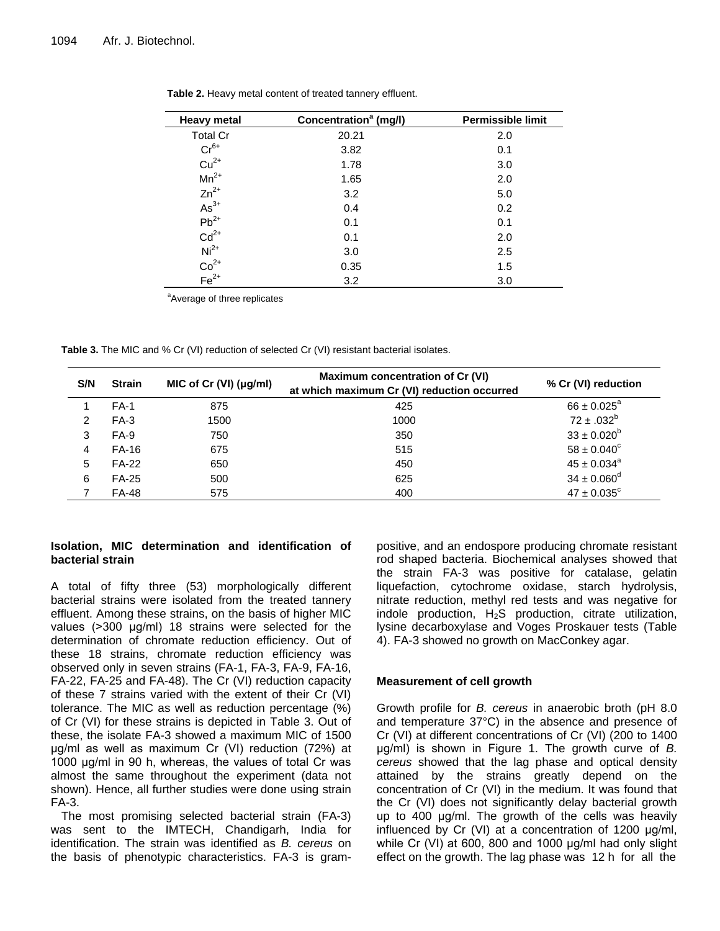$\overline{a}$ 

| Heavy metal                                                                                                          | Concentration <sup>a</sup> (mg/l) | <b>Permissible limit</b> |
|----------------------------------------------------------------------------------------------------------------------|-----------------------------------|--------------------------|
| <b>Total Cr</b>                                                                                                      | 20.21                             | 2.0                      |
| $Cr^{6+}$                                                                                                            | 3.82                              | 0.1                      |
| $Cu2+$<br>Mn <sup>2+</sup>                                                                                           | 1.78                              | 3.0                      |
|                                                                                                                      | 1.65                              | 2.0                      |
| $Zn^{2+}$                                                                                                            | 3.2                               | 5.0                      |
|                                                                                                                      | 0.4                               | 0.2                      |
|                                                                                                                      | 0.1                               | 0.1                      |
|                                                                                                                      | 0.1                               | 2.0                      |
|                                                                                                                      | 3.0                               | 2.5                      |
| As <sup>3+</sup><br>Pb <sup>2+</sup><br>Cd <sup>2+</sup><br>Ni <sup>2+</sup><br>Co <sup>2+</sup><br>Fe <sup>2+</sup> | 0.35                              | 1.5                      |
|                                                                                                                      | 3.2                               | 3.0                      |

**Table 2.** Heavy metal content of treated tannery effluent.

<sup>a</sup>Average of three replicates

Table 3. The MIC and % Cr (VI) reduction of selected Cr (VI) resistant bacterial isolates.

| S/N | <b>Strain</b> | MIC of Cr $(VI)$ ( $\mu$ g/ml) | Maximum concentration of Cr (VI)<br>at which maximum Cr (VI) reduction occurred | % Cr (VI) reduction         |
|-----|---------------|--------------------------------|---------------------------------------------------------------------------------|-----------------------------|
|     | $FA-1$        | 875                            | 425                                                                             | $66 \pm 0.025^{\circ}$      |
| 2   | $FA-3$        | 1500                           | 1000                                                                            | $72 \pm .032^b$             |
| 3   | $FA-9$        | 750                            | 350                                                                             | $33 \pm 0.020^b$            |
| 4   | <b>FA-16</b>  | 675                            | 515                                                                             | $58 \pm 0.040^{\circ}$      |
| 5   | <b>FA-22</b>  | 650                            | 450                                                                             | $45 \pm 0.034^a$            |
| 6   | <b>FA-25</b>  | 500                            | 625                                                                             | $34 \pm 0.060^{\rm d}$      |
|     | <b>FA-48</b>  | 575                            | 400                                                                             | $47 \pm 0.035$ <sup>c</sup> |

## **Isolation, MIC determination and identification of bacterial strain**

A total of fifty three (53) morphologically different bacterial strains were isolated from the treated tannery effluent. Among these strains, on the basis of higher MIC values (>300 μg/ml) 18 strains were selected for the determination of chromate reduction efficiency. Out of these 18 strains, chromate reduction efficiency was observed only in seven strains (FA-1, FA-3, FA-9, FA-16, FA-22, FA-25 and FA-48). The Cr (VI) reduction capacity of these 7 strains varied with the extent of their Cr (VI) tolerance. The MIC as well as reduction percentage (%) of Cr (VI) for these strains is depicted in Table 3. Out of these, the isolate FA-3 showed a maximum MIC of 1500 μg/ml as well as maximum Cr (VI) reduction (72%) at 1000 μg/ml in 90 h, whereas, the values of total Cr was almost the same throughout the experiment (data not shown). Hence, all further studies were done using strain FA-3.

The most promising selected bacterial strain (FA-3) was sent to the IMTECH, Chandigarh, India for identification. The strain was identified as *B. cereus* on the basis of phenotypic characteristics. FA-3 is grampositive, and an endospore producing chromate resistant rod shaped bacteria. Biochemical analyses showed that the strain FA-3 was positive for catalase, gelatin liquefaction, cytochrome oxidase, starch hydrolysis, nitrate reduction, methyl red tests and was negative for indole production,  $H_2S$  production, citrate utilization, lysine decarboxylase and Voges Proskauer tests (Table 4). FA-3 showed no growth on MacConkey agar.

# **Measurement of cell growth**

Growth profile for *B. cereus* in anaerobic broth (pH 8.0 and temperature 37°C) in the absence and presence of Cr (VI) at different concentrations of Cr (VI) (200 to 1400 μg/ml) is shown in Figure 1. The growth curve of *B. cereus* showed that the lag phase and optical density attained by the strains greatly depend on the concentration of Cr (VI) in the medium. It was found that the Cr (VI) does not significantly delay bacterial growth up to 400 μg/ml. The growth of the cells was heavily influenced by Cr (VI) at a concentration of 1200 μg/ml, while Cr (VI) at 600, 800 and 1000 μg/ml had only slight effect on the growth. The lag phase was 12 h for all the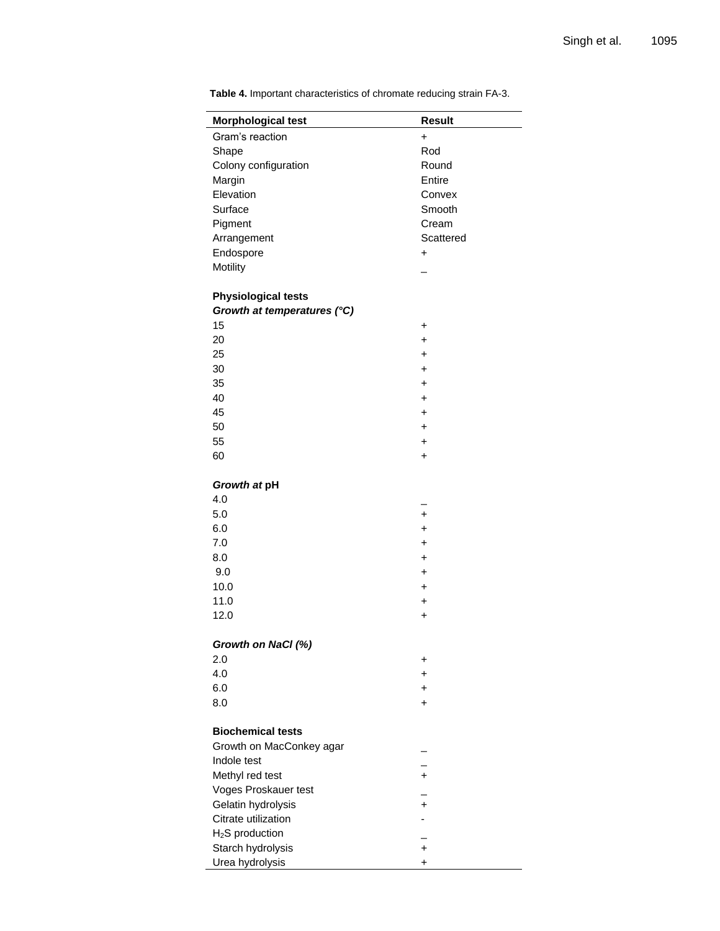| <b>Morphological test</b>   | <b>Result</b> |
|-----------------------------|---------------|
| Gram's reaction             | $\ddot{}$     |
| Shape                       | Rod           |
| Colony configuration        | Round         |
| Margin                      | Entire        |
| Elevation                   | Convex        |
| Surface                     | Smooth        |
| Pigment                     | Cream         |
| Arrangement                 | Scattered     |
| Endospore                   | +             |
| Motility                    |               |
| <b>Physiological tests</b>  |               |
| Growth at temperatures (°C) |               |
| 15                          | $\ddot{}$     |
| 20                          | $\ddot{}$     |
| 25                          | $\ddot{}$     |
| 30                          | $\ddot{}$     |
| 35                          | $\ddot{}$     |
| 40                          | $\ddot{}$     |
| 45                          | $\ddot{}$     |
| 50                          | $\ddot{}$     |
| 55                          | +             |
| 60                          | +             |
|                             |               |
| Growth at pH                |               |
| 4.0                         |               |
| 5.0                         | $\ddot{}$     |
| 6.0                         | $\ddot{}$     |
| 7.0                         | $\ddot{}$     |
| 8.0                         | $\ddot{}$     |
| 9.0                         | $\ddot{}$     |
| 10.0                        | $\ddot{}$     |
| 11.0                        | +             |
| 12.0                        | $\ddot{}$     |
| Growth on NaCl (%)          |               |
| 2.0                         | +             |
| 4.0                         | +             |
| 6.0                         | +             |
| 8.0                         | +             |
| <b>Biochemical tests</b>    |               |
| Growth on MacConkey agar    |               |
| Indole test                 |               |
| Methyl red test             | $\ddot{}$     |
| Voges Proskauer test        |               |
| Gelatin hydrolysis          | $\ddot{}$     |
| Citrate utilization         |               |
| H <sub>2</sub> S production |               |
| Starch hydrolysis           | $\ddot{}$     |
| Urea hydrolysis             | +             |
|                             |               |

**Table 4.** Important characteristics of chromate reducing strain FA-3.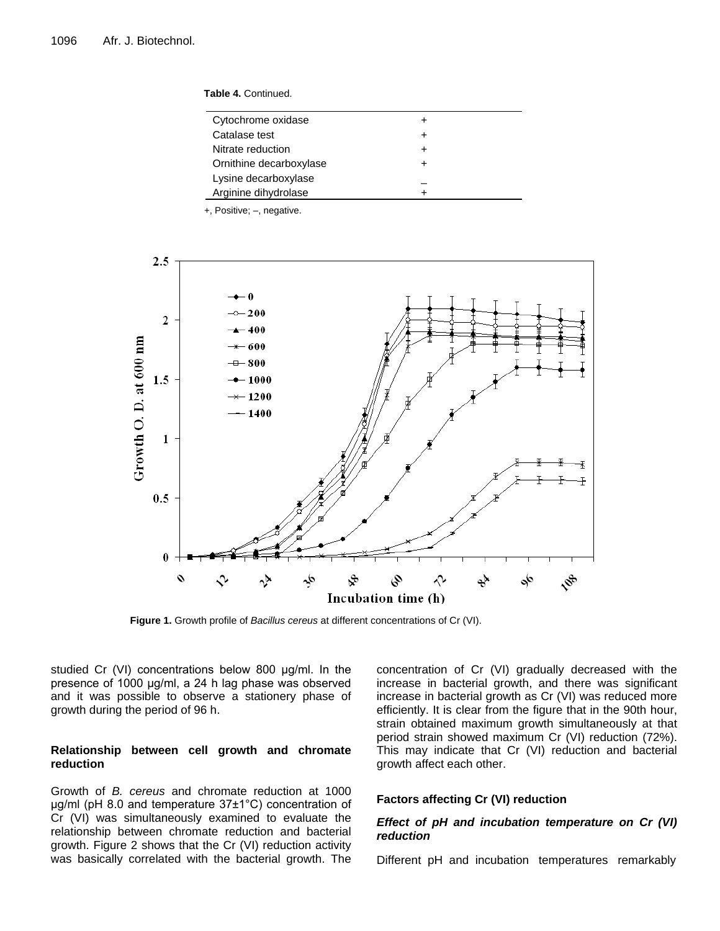**Table 4.** Continued.

| Cytochrome oxidase      |  |
|-------------------------|--|
| Catalase test           |  |
| Nitrate reduction       |  |
| Ornithine decarboxylase |  |
| Lysine decarboxylase    |  |
| Arginine dihydrolase    |  |
|                         |  |

+, Positive; –, negative.



**Figure 1.** Growth profile of *Bacillus cereus* at different concentrations of Cr (VI).

studied Cr (VI) concentrations below 800 μg/ml. In the presence of 1000 μg/ml, a 24 h lag phase was observed and it was possible to observe a stationery phase of growth during the period of 96 h.

## **Relationship between cell growth and chromate reduction**

Growth of *B. cereus* and chromate reduction at 1000 μg/ml (pH 8.0 and temperature 37±1°C) concentration of Cr (VI) was simultaneously examined to evaluate the relationship between chromate reduction and bacterial growth. Figure 2 shows that the Cr (VI) reduction activity was basically correlated with the bacterial growth. The

concentration of Cr (VI) gradually decreased with the increase in bacterial growth, and there was significant increase in bacterial growth as Cr (VI) was reduced more efficiently. It is clear from the figure that in the 90th hour, strain obtained maximum growth simultaneously at that period strain showed maximum Cr (VI) reduction (72%). This may indicate that Cr (VI) reduction and bacterial growth affect each other.

## **Factors affecting Cr (VI) reduction**

## *Effect of pH and incubation temperature on Cr (VI) reduction*

Different pH and incubation temperatures remarkably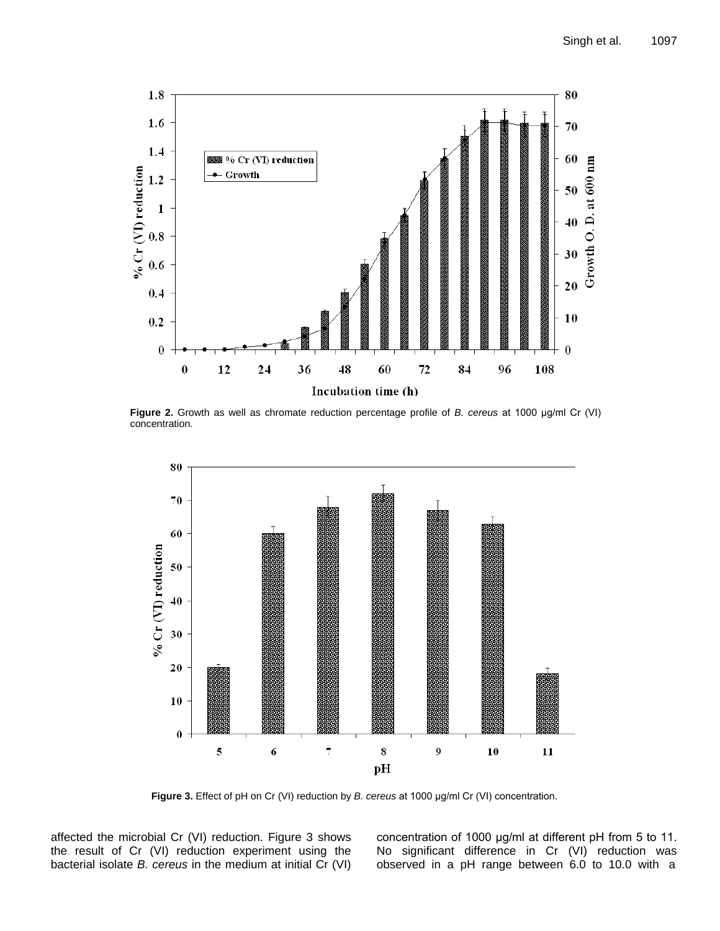

**Figure 2.** Growth as well as chromate reduction percentage profile of *B. cereus* at 1000 μg/ml Cr (VI) concentration.



**Figure 3.** Effect of pH on Cr (VI) reduction by *B. cereus* at 1000 μg/ml Cr (VI) concentration.

affected the microbial Cr (VI) reduction. Figure 3 shows the result of Cr (VI) reduction experiment using the bacterial isolate *B. cereus* in the medium at initial Cr (VI) concentration of 1000 μg/ml at different pH from 5 to 11. No significant difference in Cr (VI) reduction was observed in a pH range between 6.0 to 10.0 with a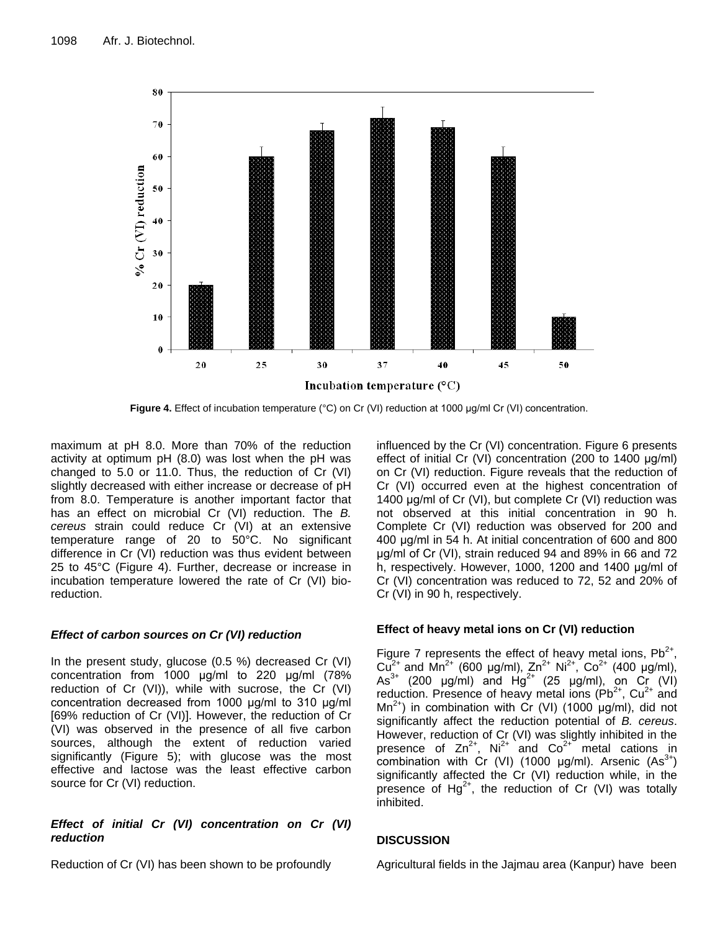

**Figure 4.** Effect of incubation temperature (°C) on Cr (VI) reduction at 1000 μg/ml Cr (VI) concentration.

maximum at pH 8.0. More than 70% of the reduction activity at optimum pH (8.0) was lost when the pH was changed to 5.0 or 11.0. Thus, the reduction of Cr (VI) slightly decreased with either increase or decrease of pH from 8.0. Temperature is another important factor that has an effect on microbial Cr (VI) reduction. The *B. cereus* strain could reduce Cr (VI) at an extensive temperature range of 20 to 50°C. No significant difference in Cr (VI) reduction was thus evident between 25 to 45°C (Figure 4). Further, decrease or increase in incubation temperature lowered the rate of Cr (VI) bioreduction.

# *Effect of carbon sources on Cr (VI) reduction*

In the present study, glucose (0.5 %) decreased Cr (VI) concentration from 1000 μg/ml to 220 μg/ml (78% reduction of Cr (VI)), while with sucrose, the Cr (VI) concentration decreased from 1000 μg/ml to 310 μg/ml [69% reduction of Cr (VI)]. However, the reduction of Cr (VI) was observed in the presence of all five carbon sources, although the extent of reduction varied significantly (Figure 5); with glucose was the most effective and lactose was the least effective carbon source for Cr (VI) reduction.

# *Effect of initial Cr (VI) concentration on Cr (VI) reduction*

Reduction of Cr (VI) has been shown to be profoundly

influenced by the Cr (VI) concentration. Figure 6 presents effect of initial Cr (VI) concentration (200 to 1400 μg/ml) on Cr (VI) reduction. Figure reveals that the reduction of Cr (VI) occurred even at the highest concentration of 1400 μg/ml of Cr (VI), but complete Cr (VI) reduction was not observed at this initial concentration in 90 h. Complete Cr (VI) reduction was observed for 200 and 400 μg/ml in 54 h. At initial concentration of 600 and 800 μg/ml of Cr (VI), strain reduced 94 and 89% in 66 and 72 h, respectively. However, 1000, 1200 and 1400 μg/ml of Cr (VI) concentration was reduced to 72, 52 and 20% of Cr (VI) in 90 h, respectively.

# **Effect of heavy metal ions on Cr (VI) reduction**

Figure 7 represents the effect of heavy metal ions,  $Pb^{2+}$ , Cu<sup>2+</sup> and Mn<sup>2+</sup> (600 μg/ml), Zn<sup>2+</sup> Ni<sup>2+</sup>, Co<sup>2+</sup> (400 μg/ml), As<sup>3+</sup> (200 µg/ml) and  $Hg^{2+}$  (25 µg/ml), on Cr (VI) reduction. Presence of heavy metal ions ( $Pb^{2+}$ ,  $Cu^{2+}$  and  $Mn^{2+}$ ) in combination with Cr (VI) (1000  $\mu$ g/ml), did not significantly affect the reduction potential of *B. cereus*. However, reduction of Cr (VI) was slightly inhibited in the presence of  $Zn^{2+}$ , Ni<sup>2+</sup> and  $Co^{2+}$  metal cations in combination with Cr (VI) (1000  $\mu$ g/ml). Arsenic (As<sup>3+</sup>) significantly affected the Cr (VI) reduction while, in the presence of Hg<sup>2+</sup>, the reduction of Cr (VI) was totally inhibited.

# **DISCUSSION**

Agricultural fields in the Jajmau area (Kanpur) have been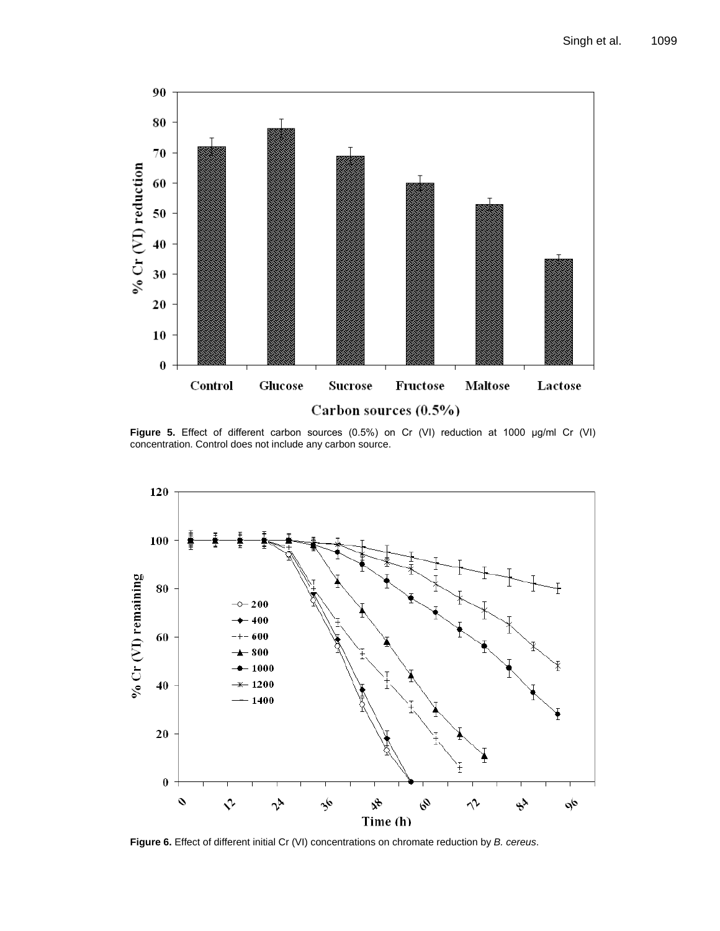

**Figure 5.** Effect of different carbon sources (0.5%) on Cr (VI) reduction at 1000 μg/ml Cr (VI) concentration. Control does not include any carbon source.



**Figure 6.** Effect of different initial Cr (VI) concentrations on chromate reduction by *B. cereus*.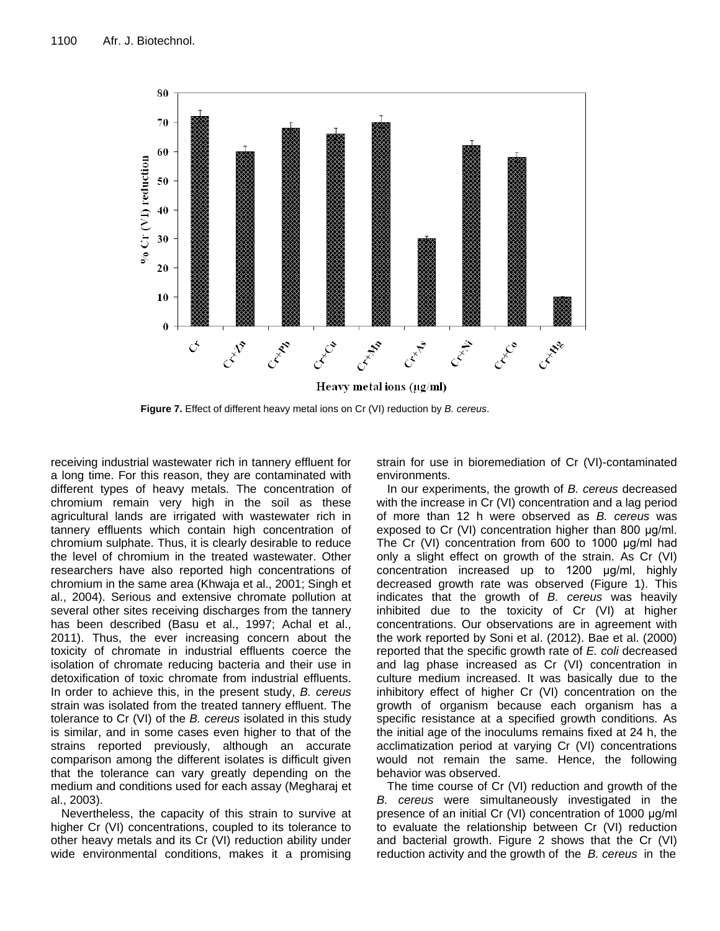

**Figure 7.** Effect of different heavy metal ions on Cr (VI) reduction by *B. cereus*.

receiving industrial wastewater rich in tannery effluent for a long time. For this reason, they are contaminated with different types of heavy metals. The concentration of chromium remain very high in the soil as these agricultural lands are irrigated with wastewater rich in tannery effluents which contain high concentration of chromium sulphate. Thus, it is clearly desirable to reduce the level of chromium in the treated wastewater. Other researchers have also reported high concentrations of chromium in the same area (Khwaja et al., 2001; Singh et al., 2004). Serious and extensive chromate pollution at several other sites receiving discharges from the tannery has been described (Basu et al., 1997; Achal et al., 2011). Thus, the ever increasing concern about the toxicity of chromate in industrial effluents coerce the isolation of chromate reducing bacteria and their use in detoxification of toxic chromate from industrial effluents. In order to achieve this, in the present study, *B. cereus* strain was isolated from the treated tannery effluent. The tolerance to Cr (VI) of the *B. cereus* isolated in this study is similar, and in some cases even higher to that of the strains reported previously, although an accurate comparison among the different isolates is difficult given that the tolerance can vary greatly depending on the medium and conditions used for each assay (Megharaj et al., 2003).

Nevertheless, the capacity of this strain to survive at higher Cr (VI) concentrations, coupled to its tolerance to other heavy metals and its Cr (VI) reduction ability under wide environmental conditions, makes it a promising strain for use in bioremediation of Cr (VI)-contaminated environments.

In our experiments, the growth of *B. cereus* decreased with the increase in Cr (VI) concentration and a lag period of more than 12 h were observed as *B. cereus* was exposed to Cr (VI) concentration higher than 800 μg/ml. The Cr (VI) concentration from 600 to 1000 μg/ml had only a slight effect on growth of the strain. As Cr (VI) concentration increased up to 1200 μg/ml, highly decreased growth rate was observed (Figure 1). This indicates that the growth of *B. cereus* was heavily inhibited due to the toxicity of Cr (VI) at higher concentrations. Our observations are in agreement with the work reported by Soni et al. (2012). Bae et al. (2000) reported that the specific growth rate of *E. coli* decreased and lag phase increased as Cr (VI) concentration in culture medium increased. It was basically due to the inhibitory effect of higher Cr (VI) concentration on the growth of organism because each organism has a specific resistance at a specified growth conditions. As the initial age of the inoculums remains fixed at 24 h, the acclimatization period at varying Cr (VI) concentrations would not remain the same. Hence, the following behavior was observed.

The time course of Cr (VI) reduction and growth of the *B. cereus* were simultaneously investigated in the presence of an initial Cr (VI) concentration of 1000 μg/ml to evaluate the relationship between Cr (VI) reduction and bacterial growth. Figure 2 shows that the Cr (VI) reduction activity and the growth of the *B. cereus* in the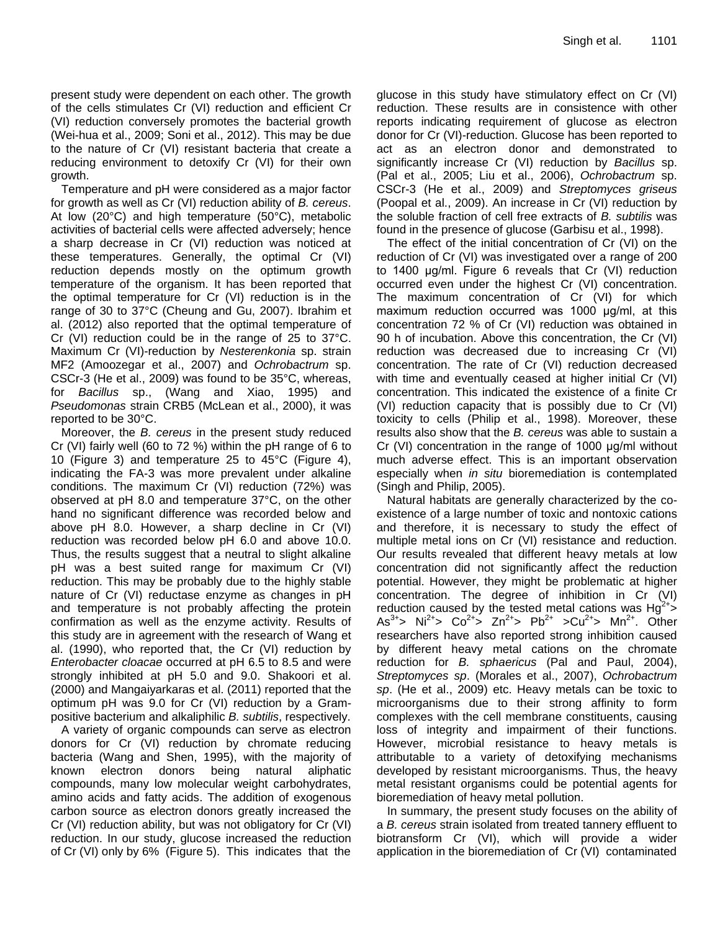present study were dependent on each other. The growth of the cells stimulates Cr (VI) reduction and efficient Cr (VI) reduction conversely promotes the bacterial growth (Wei-hua et al., 2009; Soni et al., 2012). This may be due to the nature of Cr (VI) resistant bacteria that create a reducing environment to detoxify Cr (VI) for their own growth.

Temperature and pH were considered as a major factor for growth as well as Cr (VI) reduction ability of *B. cereus*. At low (20°C) and high temperature (50°C), metabolic activities of bacterial cells were affected adversely; hence a sharp decrease in Cr (VI) reduction was noticed at these temperatures. Generally, the optimal Cr (VI) reduction depends mostly on the optimum growth temperature of the organism. It has been reported that the optimal temperature for Cr (VI) reduction is in the range of 30 to 37°C (Cheung and Gu, 2007). Ibrahim et al. (2012) also reported that the optimal temperature of Cr (VI) reduction could be in the range of 25 to 37°C. Maximum Cr (VI)-reduction by *Nesterenkonia* sp. strain MF2 (Amoozegar et al., 2007) and *Ochrobactrum* sp. CSCr-3 (He et al., 2009) was found to be 35°C, whereas, for *Bacillus* sp., (Wang and Xiao, 1995) and *Pseudomonas* strain CRB5 (McLean et al., 2000), it was reported to be 30°C.

Moreover, the *B. cereus* in the present study reduced Cr (VI) fairly well (60 to 72 %) within the pH range of 6 to 10 (Figure 3) and temperature 25 to 45°C (Figure 4), indicating the FA-3 was more prevalent under alkaline conditions. The maximum Cr (VI) reduction (72%) was observed at pH 8.0 and temperature 37°C, on the other hand no significant difference was recorded below and above pH 8.0. However, a sharp decline in Cr (VI) reduction was recorded below pH 6.0 and above 10.0. Thus, the results suggest that a neutral to slight alkaline pH was a best suited range for maximum Cr (VI) reduction. This may be probably due to the highly stable nature of Cr (VI) reductase enzyme as changes in pH and temperature is not probably affecting the protein confirmation as well as the enzyme activity. Results of this study are in agreement with the research of Wang et al. (1990), who reported that, the Cr (VI) reduction by *Enterobacter cloacae* occurred at pH 6.5 to 8.5 and were strongly inhibited at pH 5.0 and 9.0. Shakoori et al. (2000) and Mangaiyarkaras et al. (2011) reported that the optimum pH was 9.0 for Cr (VI) reduction by a Grampositive bacterium and alkaliphilic *B. subtilis*, respectively.

A variety of organic compounds can serve as electron donors for Cr (VI) reduction by chromate reducing bacteria (Wang and Shen, 1995), with the majority of known electron donors being natural aliphatic compounds, many low molecular weight carbohydrates, amino acids and fatty acids. The addition of exogenous carbon source as electron donors greatly increased the Cr (VI) reduction ability, but was not obligatory for Cr (VI) reduction. In our study, glucose increased the reduction of Cr (VI) only by 6% (Figure 5). This indicates that the glucose in this study have stimulatory effect on Cr (VI) reduction. These results are in consistence with other reports indicating requirement of glucose as electron donor for Cr (VI)-reduction. Glucose has been reported to act as an electron donor and demonstrated to significantly increase Cr (VI) reduction by *Bacillus* sp. (Pal et al., 2005; Liu et al., 2006), *Ochrobactrum* sp. CSCr-3 (He et al., 2009) and *Streptomyces griseus*  (Poopal et al., 2009). An increase in Cr (VI) reduction by the soluble fraction of cell free extracts of *B. subtilis* was found in the presence of glucose (Garbisu et al., 1998).

The effect of the initial concentration of Cr (VI) on the reduction of Cr (VI) was investigated over a range of 200 to 1400 μg/ml. Figure 6 reveals that Cr (VI) reduction occurred even under the highest Cr (VI) concentration. The maximum concentration of Cr (VI) for which maximum reduction occurred was 1000 μg/ml, at this concentration 72 % of Cr (VI) reduction was obtained in 90 h of incubation. Above this concentration, the Cr (VI) reduction was decreased due to increasing Cr (VI) concentration. The rate of Cr (VI) reduction decreased with time and eventually ceased at higher initial Cr (VI) concentration. This indicated the existence of a finite Cr (VI) reduction capacity that is possibly due to Cr (VI) toxicity to cells (Philip et al., 1998). Moreover, these results also show that the *B. cereus* was able to sustain a Cr (VI) concentration in the range of 1000 μg/ml without much adverse effect. This is an important observation especially when *in situ* bioremediation is contemplated (Singh and Philip, 2005).

Natural habitats are generally characterized by the coexistence of a large number of toxic and nontoxic cations and therefore, it is necessary to study the effect of multiple metal ions on Cr (VI) resistance and reduction. Our results revealed that different heavy metals at low concentration did not significantly affect the reduction potential. However, they might be problematic at higher concentration. The degree of inhibition in Cr (VI) reduction caused by the tested metal cations was  $Hg^{2+}$ As<sup>3+</sup>> Ni<sup>2+</sup>> Co<sup>2+</sup>> Zn<sup>2+</sup>> Pb<sup>2+</sup> >Cu<sup>2+</sup>> Mn<sup>2+</sup>. Other researchers have also reported strong inhibition caused by different heavy metal cations on the chromate reduction for *B. sphaericus* (Pal and Paul, 2004), *Streptomyces sp*. (Morales et al., 2007), *Ochrobactrum sp*. (He et al., 2009) etc. Heavy metals can be toxic to microorganisms due to their strong affinity to form complexes with the cell membrane constituents, causing loss of integrity and impairment of their functions. However, microbial resistance to heavy metals is attributable to a variety of detoxifying mechanisms developed by resistant microorganisms. Thus, the heavy metal resistant organisms could be potential agents for bioremediation of heavy metal pollution.

In summary, the present study focuses on the ability of a *B. cereus* strain isolated from treated tannery effluent to biotransform Cr (VI), which will provide a wider application in the bioremediation of Cr (VI) contaminated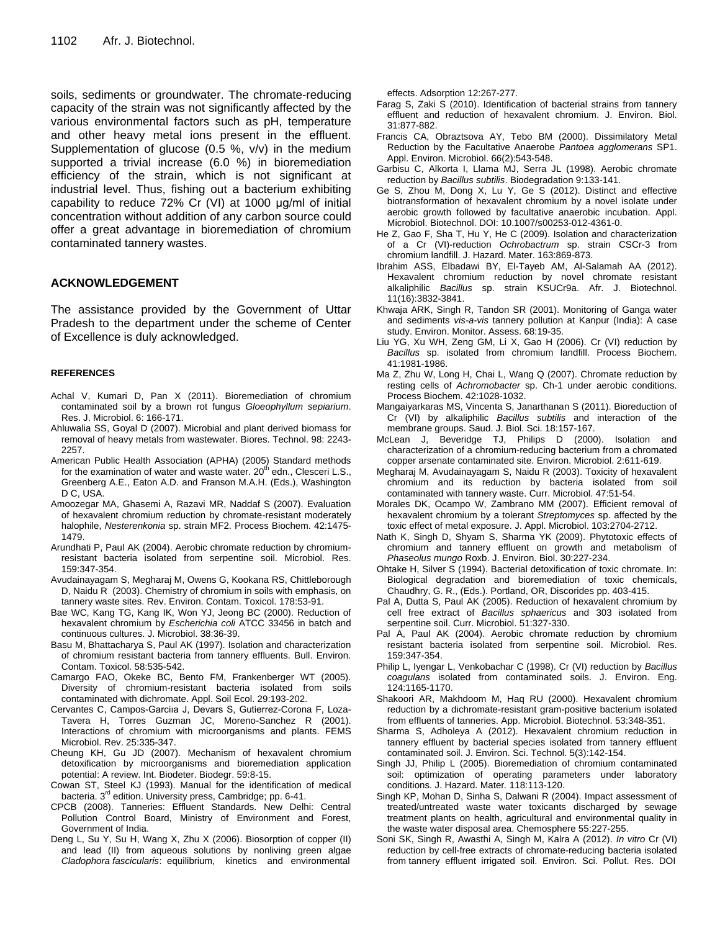soils, sediments or groundwater. The chromate-reducing capacity of the strain was not significantly affected by the various environmental factors such as pH, temperature and other heavy metal ions present in the effluent. Supplementation of glucose (0.5 %, v/v) in the medium supported a trivial increase (6.0 %) in bioremediation efficiency of the strain, which is not significant at industrial level. Thus, fishing out a bacterium exhibiting capability to reduce 72% Cr (VI) at 1000 μg/ml of initial concentration without addition of any carbon source could offer a great advantage in bioremediation of chromium contaminated tannery wastes.

# **ACKNOWLEDGEMENT**

The assistance provided by the Government of Uttar Pradesh to the department under the scheme of Center of Excellence is duly acknowledged.

### **REFERENCES**

- Achal V, Kumari D, Pan X (2011). Bioremediation of chromium contaminated soil by a brown rot fungus *Gloeophyllum sepiarium*. Res. J. Microbiol. 6: 166-171.
- Ahluwalia SS, Goyal D (2007). Microbial and plant derived biomass for removal of heavy metals from wastewater. Biores. Technol. 98: 2243- 2257.
- American Public Health Association (APHA) (2005) Standard methods for the examination of water and waste water.  $20<sup>th</sup>$  edn., Clesceri L.S., Greenberg A.E., Eaton A.D. and Franson M.A.H. (Eds.), Washington D C, USA.
- Amoozegar MA, Ghasemi A, Razavi MR, Naddaf S (2007). Evaluation of hexavalent chromium reduction by chromate-resistant moderately halophile, *Nesterenkonia* sp. strain MF2. Process Biochem. 42:1475- 1479.
- Arundhati P, Paul AK (2004). Aerobic chromate reduction by chromiumresistant bacteria isolated from serpentine soil. Microbiol. Res. 159:347-354.
- Avudainayagam S, Megharaj M, Owens G, Kookana [RS,](http://link.springer.com/search?facet-author=%22R.S.+Kookana%22) Chittleborough [D,](http://link.springer.com/search?facet-author=%22D.+Chittleborough%22) Naid[u R \(](http://link.springer.com/search?facet-author=%22R.+Naidu%22)2003). Chemistry of chromium in soils with emphasis, on tannery waste sites. Rev. Environ. Contam. Toxicol. 178:53-91.
- Bae WC, Kang TG, Kang IK, Won YJ, Jeong BC (2000). Reduction of hexavalent chromium by *Escherichia coli* ATCC 33456 in batch and continuous cultures. J. Microbiol. 38:36-39.
- Basu M, Bhattacharya S, Paul AK (1997). Isolation and characterization of chromium resistant bacteria from tannery effluents. Bull. Environ. Contam. Toxicol. 58:535-542.
- Camargo FAO, Okeke BC, Bento FM, Frankenberger WT (2005). Diversity of chromium-resistant bacteria isolated from soils contaminated with dichromate. Appl. Soil Ecol. 29:193-202.
- Cervantes C, Campos-Garciıa J, Devars S, Gutierrez-Corona F, Loza-Tavera H, Torres Guzman JC, Moreno-Sanchez R (2001). Interactions of chromium with microorganisms and plants. FEMS Microbiol. Rev. 25:335-347.
- Cheung KH, Gu JD (2007). Mechanism of hexavalent chromium detoxification by microorganisms and bioremediation application potential: A review. Int. Biodeter. Biodegr. 59:8-15.
- Cowan ST, Steel KJ (1993). Manual for the identification of medical bacteria. 3<sup>rd</sup> edition. University press, Cambridge; pp. 6-41.
- CPCB (2008). Tanneries: Effluent Standards. New Delhi: Central Pollution Control Board, Ministry of Environment and Forest, Government of India.
- Deng L, Su Y, Su H, Wang X, Zhu X (2006). Biosorption of copper (II) and lead (II) from aqueous solutions by nonliving green algae *Cladophora fascicularis*: equilibrium, kinetics and environmental

effects. Adsorption 12:267-277.

- Farag S, Zaki S (2010). Identification of bacterial strains from tannery effluent and reduction of hexavalent chromium. J. Environ. Biol. 31:877-882.
- Francis [CA,](file://sites/entrez) Obraztsova AY, Tebo [BM \(2](file://sites/entrez)000). Dissimilatory Metal Reduction by the Facultative Anaerobe *Pantoea agglomerans* SP1. Appl. Environ. Microbiol. 66(2):543-548.
- Garbisu C, Alkorta I, Llama MJ, Serra JL (1998). Aerobic chromate reduction by *Bacillus subtilis*. Biodegradation 9:133-141.
- [Ge S,](http://www.ncbi.nlm.nih.gov/pubmed?term=Ge%20S%5BAuthor%5D&cauthor=true&cauthor_uid=22926581) [Zhou M,](http://www.ncbi.nlm.nih.gov/pubmed?term=Zhou%20M%5BAuthor%5D&cauthor=true&cauthor_uid=22926581) [Dong X,](http://www.ncbi.nlm.nih.gov/pubmed?term=Dong%20X%5BAuthor%5D&cauthor=true&cauthor_uid=22926581) [Lu Y,](http://www.ncbi.nlm.nih.gov/pubmed?term=Lu%20Y%5BAuthor%5D&cauthor=true&cauthor_uid=22926581) [Ge S](http://www.ncbi.nlm.nih.gov/pubmed?term=Ge%20S%5BAuthor%5D&cauthor=true&cauthor_uid=22926581) (2012). Distinct and effective biotransformation of hexavalent chromium by a novel isolate under aerobic growth followed by facultative anaerobic incubation. Appl. Microbiol. Biotechnol. DOI[: 10.1007/s00253-012-4361-0.](http://dx.doi.org/10.1007/s00253-012-4361-0)
- He Z, Gao F, Sha T, Hu Y, He C (2009). Isolation and characterization of a Cr (VI)-reduction *Ochrobactrum* sp. strain CSCr-3 from chromium landfill. J. Hazard. Mater. 163:869-873.
- Ibrahim ASS, Elbadawi BY, El-Tayeb AM, Al-Salamah AA (2012). Hexavalent chromium reduction by novel chromate resistant alkaliphilic *Bacillus* sp. strain KSUCr9a. Afr. J. Biotechnol. 11(16):3832-3841.
- Khwaja ARK, Singh R, Tandon SR (2001). Monitoring of Ganga water and sediments *vis-a-vis* tannery pollution at Kanpur (India): A case study. Environ. Monitor. Assess. 68:19-35.
- Liu YG, Xu WH, Zeng GM, Li X, Gao H (2006). Cr (VI) reduction by *Bacillus* sp. isolated from chromium landfill. Process Biochem. 41:1981-1986.
- Ma Z, Zhu W, Long H, Chai L, Wang Q (2007). Chromate reduction by resting cells of *Achromobacter* sp. Ch-1 under aerobic conditions. Process Biochem. 42:1028-1032.
- Mangaiyarkaras MS, Vincenta S, Janarthanan S (2011). Bioreduction of Cr (VI) by alkaliphilic *Bacillus subtilis* and interaction of the membrane groups. Saud. J. Biol. Sci. 18:157-167.
- McLean J, Beveridge TJ, Philips D (2000). Isolation and characterization of a chromium-reducing bacterium from a chromated copper arsenate contaminated site. Environ. Microbiol. 2:611-619.
- Megharaj M, Avudainayagam S, Naidu R (2003). Toxicity of hexavalent chromium and its reduction by bacteria isolated from soil contaminated with tannery waste. Curr. Microbiol. 47:51-54.
- Morales DK, Ocampo W, Zambrano MM (2007). Efficient removal of hexavalent chromium by a tolerant *Streptomyces* sp. affected by the toxic effect of metal exposure. J. Appl. Microbiol. 103:2704-2712.
- Nath K, Singh D, Shyam S, Sharma YK (2009). Phytotoxic effects of chromium and tannery effluent on growth and metabolism of *Phaseolus mungo* Roxb. J. Environ. Biol. 30:227-234.
- Ohtake H, Silver S (1994). Bacterial detoxification of toxic chromate. In: Biological degradation and bioremediation of toxic chemicals, Chaudhry, G. R., (Eds.). Portland, OR, Discorides pp. 403-415.
- Pal A, Dutta S, Paul AK (2005). Reduction of hexavalent chromium by cell free extract of *Bacillus sphaericus* and 303 isolated from serpentine soil. Curr. Microbiol. 51:327-330.
- Pal A, Paul AK (2004). Aerobic chromate reduction by chromium resistant bacteria isolated from serpentine soil. Microbiol. Res. 159:347-354.
- Philip L, Iyengar L, Venkobachar C (1998). Cr (VI) reduction by *Bacillus coagulans* isolated from contaminated soils. J. Environ. Eng. 124:1165-1170.
- Shakoori [AR,](http://www.springerlink.com/content/?Author=A.+R.+Shakoori) Makhdoom [M, H](http://www.springerlink.com/content/?Author=M.+Makhdoom)aq [RU](http://www.springerlink.com/content/?Author=R.+U.+Haq) (2000). Hexavalent chromium reduction by a dichromate-resistant gram-positive bacterium isolated from effluents of tanneries[. App. Microbiol. Biotechnol.](http://www.springerlink.com/content/0175-7598/) [53:3](http://www.springerlink.com/content/0175-7598/53/3/)48-351.
- Sharma S, Adholeya A (2012). Hexavalent chromium reduction in tannery effluent by bacterial species isolated from tannery effluent contaminated soil. J. Environ. Sci. Technol. 5(3):142-154.
- Singh JJ, Philip L (2005). Bioremediation of chromium contaminated soil: optimization of operating parameters under laboratory conditions. [J. Hazard. Mater](http://www.sciencedirect.com/science/journal/03043894)*.* [118:1](http://www.sciencedirect.com/science/journal/03043894/118/1)13-120.
- Singh KP, Mohan D, Sinha S, Dalwani R (2004). Impact assessment of treated/untreated waste water toxicants discharged by sewage treatment plants on health, agricultural and environmental quality in the waste water disposal area. Chemosphere 55:227-255.
- Soni SK, Singh R, Awasthi A, Singh M, Kalra A (2012). *In vitro* Cr (VI) reduction by cell-free extracts of chromate-reducing bacteria isolated from tannery effluent irrigated soil. Environ. Sci. Pollut. Res. DOI